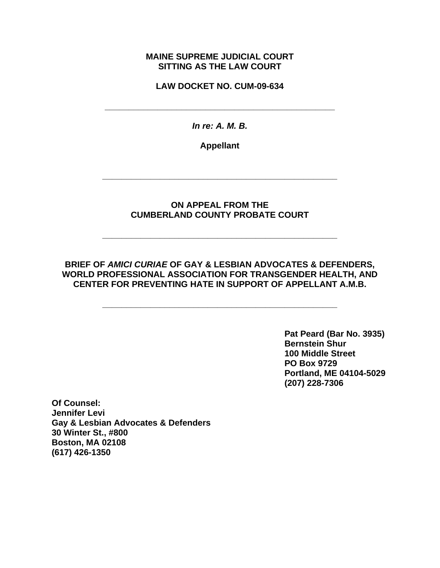### **MAINE SUPREME JUDICIAL COURT SITTING AS THE LAW COURT**

**LAW DOCKET NO. CUM-09-634** 

**\_\_\_\_\_\_\_\_\_\_\_\_\_\_\_\_\_\_\_\_\_\_\_\_\_\_\_\_\_\_\_\_\_\_\_\_\_\_\_\_\_\_\_\_\_\_\_\_** 

*In re: A. M. B.*

**Appellant** 

**\_\_\_\_\_\_\_\_\_\_\_\_\_\_\_\_\_\_\_\_\_\_\_\_\_\_\_\_\_\_\_\_\_\_\_\_\_\_\_\_\_\_\_\_\_\_\_\_\_** 

## **ON APPEAL FROM THE CUMBERLAND COUNTY PROBATE COURT**

**\_\_\_\_\_\_\_\_\_\_\_\_\_\_\_\_\_\_\_\_\_\_\_\_\_\_\_\_\_\_\_\_\_\_\_\_\_\_\_\_\_\_\_\_\_\_\_\_\_** 

## **BRIEF OF** *AMICI CURIAE* **OF GAY & LESBIAN ADVOCATES & DEFENDERS, WORLD PROFESSIONAL ASSOCIATION FOR TRANSGENDER HEALTH, AND CENTER FOR PREVENTING HATE IN SUPPORT OF APPELLANT A.M.B.**

**\_\_\_\_\_\_\_\_\_\_\_\_\_\_\_\_\_\_\_\_\_\_\_\_\_\_\_\_\_\_\_\_\_\_\_\_\_\_\_\_\_\_\_\_\_\_\_\_\_** 

 **Pat Peard (Bar No. 3935) Bernstein Shur 100 Middle Street PO Box 9729 Portland, ME 04104-5029 (207) 228-7306** 

**Of Counsel: Jennifer Levi Gay & Lesbian Advocates & Defenders 30 Winter St., #800 Boston, MA 02108 (617) 426-1350**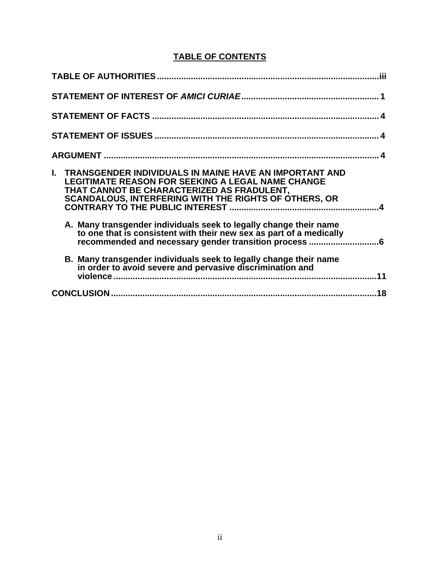## **TABLE OF CONTENTS**

| .iii                                                                                                                                                                                                                                       |
|--------------------------------------------------------------------------------------------------------------------------------------------------------------------------------------------------------------------------------------------|
|                                                                                                                                                                                                                                            |
|                                                                                                                                                                                                                                            |
|                                                                                                                                                                                                                                            |
|                                                                                                                                                                                                                                            |
| <b>I. TRANSGENDER INDIVIDUALS IN MAINE HAVE AN IMPORTANT AND</b><br><b>LEGITIMATE REASON FOR SEEKING A LEGAL NAME CHANGE</b><br>THAT CANNOT BE CHARACTERIZED AS FRADULENT,<br><b>SCANDALOUS, INTERFERING WITH THE RIGHTS OF OTHERS, OR</b> |
| A. Many transgender individuals seek to legally change their name<br>to one that is consistent with their new sex as part of a medically                                                                                                   |
| B. Many transgender individuals seek to legally change their name<br>in order to avoid severe and pervasive discrimination and<br>.11                                                                                                      |
| 18                                                                                                                                                                                                                                         |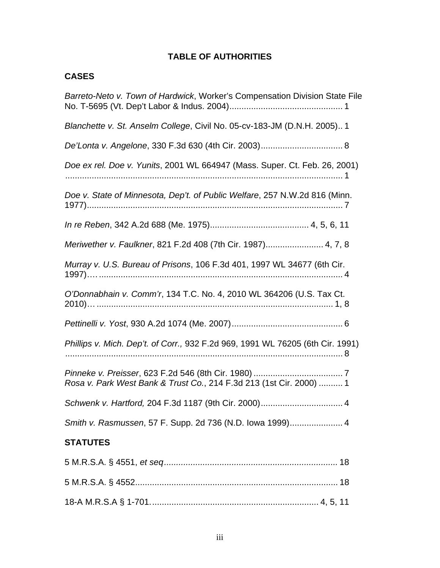# **TABLE OF AUTHORITIES**

# **CASES**

| Barreto-Neto v. Town of Hardwick, Worker's Compensation Division State File    |
|--------------------------------------------------------------------------------|
| Blanchette v. St. Anselm College, Civil No. 05-cv-183-JM (D.N.H. 2005) 1       |
|                                                                                |
| Doe ex rel. Doe v. Yunits, 2001 WL 664947 (Mass. Super. Ct. Feb. 26, 2001)     |
| Doe v. State of Minnesota, Dep't. of Public Welfare, 257 N.W.2d 816 (Minn.     |
|                                                                                |
| Meriwether v. Faulkner, 821 F.2d 408 (7th Cir. 1987) 4, 7, 8                   |
| Murray v. U.S. Bureau of Prisons, 106 F.3d 401, 1997 WL 34677 (6th Cir.        |
| O'Donnabhain v. Comm'r, 134 T.C. No. 4, 2010 WL 364206 (U.S. Tax Ct.           |
|                                                                                |
| Phillips v. Mich. Dep't. of Corr., 932 F.2d 969, 1991 WL 76205 (6th Cir. 1991) |
| Rosa v. Park West Bank & Trust Co., 214 F.3d 213 (1st Cir. 2000)  1            |
|                                                                                |
| Smith v. Rasmussen, 57 F. Supp. 2d 736 (N.D. Iowa 1999) 4                      |
| <b>STATUTES</b>                                                                |
|                                                                                |
|                                                                                |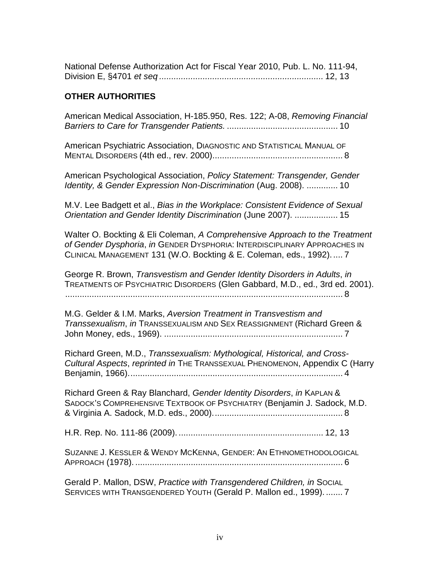| National Defense Authorization Act for Fiscal Year 2010, Pub. L. No. 111-94, |  |
|------------------------------------------------------------------------------|--|
|                                                                              |  |

### **OTHER AUTHORITIES**

American Medical Association, H-185.950, Res. 122; A-08, *Removing Financial Barriers to Care for Transgender Patients.* .............................................. 10

American Psychiatric Association, DIAGNOSTIC AND STATISTICAL MANUAL OF MENTAL DISORDERS (4th ed., rev. 2000)...................................................... 8

American Psychological Association, *Policy Statement: Transgender, Gender Identity, & Gender Expression Non-Discrimination* (Aug. 2008). ............. 10

M.V. Lee Badgett et al., *Bias in the Workplace: Consistent Evidence of Sexual Orientation and Gender Identity Discrimination* (June 2007). .................. 15

Walter O. Bockting & Eli Coleman, *A Comprehensive Approach to the Treatment of Gender Dysphoria*, *in* GENDER DYSPHORIA: INTERDISCIPLINARY APPROACHES IN CLINICAL MANAGEMENT 131 (W.O. Bockting & E. Coleman, eds., 1992)..... 7

George R. Brown, *Transvestism and Gender Identity Disorders in Adults*, *in* TREATMENTS OF PSYCHIATRIC DISORDERS (Glen Gabbard, M.D., ed., 3rd ed. 2001). ................................................................................................................... 8

M.G. Gelder & I.M. Marks, *Aversion Treatment in Transvestism and Transsexualism*, *in* TRANSSEXUALISM AND SEX REASSIGNMENT (Richard Green & John Money, eds., 1969). .......................................................................... 7

Richard Green, M.D., *Transsexualism: Mythological, Historical, and Cross-Cultural Aspects*, *reprinted in* THE TRANSSEXUAL PHENOMENON, Appendix C (Harry Benjamin, 1966)......................................................................................... 4

Richard Green & Ray Blanchard, *Gender Identity Disorders*, *in* KAPLAN & SADOCK'S COMPREHENSIVE TEXTBOOK OF PSYCHIATRY (Benjamin J. Sadock, M.D. & Virginia A. Sadock, M.D. eds., 2000)...................................................... 8

H.R. Rep. No. 111-86 (2009). ............................................................ 12, 13

SUZANNE J. KESSLER & WENDY MCKENNA, GENDER: AN ETHNOMETHODOLOGICAL APPROACH (1978). ...................................................................................... 6

Gerald P. Mallon, DSW, *Practice with Transgendered Children, in* SOCIAL SERVICES WITH TRANSGENDERED YOUTH (Gerald P. Mallon ed., 1999). ....... 7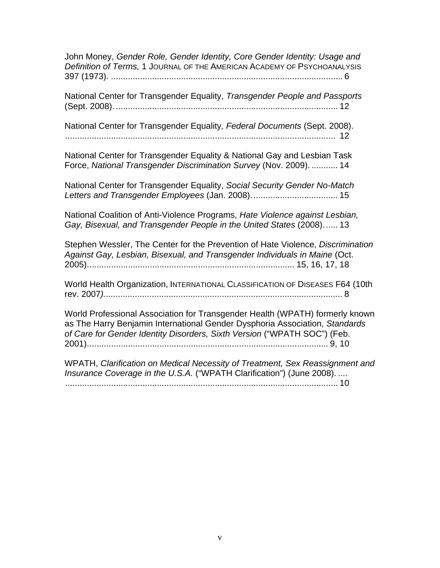John Money, *Gender Role, Gender Identity, Core Gender Identity: Usage and Definition of Terms,* 1 JOURNAL OF THE AMERICAN ACADEMY OF PSYCHOANALYSIS 397 (1973). ................................................................................................ 6

National Center for Transgender Equality, *Transgender People and Passports* (Sept. 2008). ............................................................................................ 12

National Center for Transgender Equality*, Federal Documents* (Sept. 2008). ................................................................................................................ 12

National Center for Transgender Equality & National Gay and Lesbian Task Force, *National Transgender Discrimination Survey* (Nov. 2009). ........... 14

National Center for Transgender Equality, *Social Security Gender No-Match Letters and Transgender Employees* (Jan. 2008).................................... 15

National Coalition of Anti-Violence Programs, *Hate Violence against Lesbian, Gay, Bisexual, and Transgender People in the United States* (2008)...... 13

Stephen Wessler, The Center for the Prevention of Hate Violence, *Discrimination Against Gay, Lesbian, Bisexual, and Transgender Individuals in Maine* (Oct. 2005)...................................................................................... 15, 16, 17, 18

World Health Organization, INTERNATIONAL CLASSIFICATION OF DISEASES F64 (10th rev. 2007*)...................................................................................................* 8

World Professional Association for Transgender Health (WPATH) formerly known as The Harry Benjamin International Gender Dysphoria Association, *Standards of Care for Gender Identity Disorders, Sixth Version* ("WPATH SOC") (Feb. 2001).................................................................................................... 9, 10

WPATH, *Clarification on Medical Necessity of Treatment, Sex Reassignment and Insurance Coverage in the U.S.A.* ("WPATH Clarification") (June 2008). .... ................................................................................................................. 10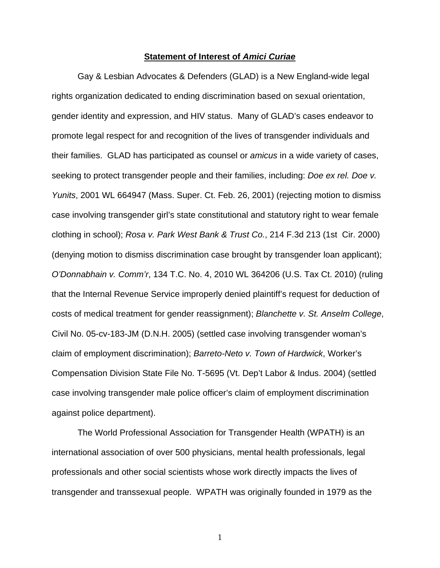#### **Statement of Interest of** *Amici Curiae*

Gay & Lesbian Advocates & Defenders (GLAD) is a New England-wide legal rights organization dedicated to ending discrimination based on sexual orientation, gender identity and expression, and HIV status. Many of GLAD's cases endeavor to promote legal respect for and recognition of the lives of transgender individuals and their families. GLAD has participated as counsel or *amicus* in a wide variety of cases, seeking to protect transgender people and their families, including: *Doe ex rel. Doe v. Yunits*, 2001 WL 664947 (Mass. Super. Ct. Feb. 26, 2001) (rejecting motion to dismiss case involving transgender girl's state constitutional and statutory right to wear female clothing in school); *Rosa v. Park West Bank & Trust Co.*, 214 F.3d 213 (1st Cir. 2000) (denying motion to dismiss discrimination case brought by transgender loan applicant); *O'Donnabhain v. Comm'r*, 134 T.C. No. 4, 2010 WL 364206 (U.S. Tax Ct. 2010) (ruling that the Internal Revenue Service improperly denied plaintiff's request for deduction of costs of medical treatment for gender reassignment); *Blanchette v. St. Anselm College*, Civil No. 05-cv-183-JM (D.N.H. 2005) (settled case involving transgender woman's claim of employment discrimination); *Barreto-Neto v. Town of Hardwick*, Worker's Compensation Division State File No. T-5695 (Vt. Dep't Labor & Indus. 2004) (settled case involving transgender male police officer's claim of employment discrimination against police department).

The World Professional Association for Transgender Health (WPATH) is an international association of over 500 physicians, mental health professionals, legal professionals and other social scientists whose work directly impacts the lives of transgender and transsexual people. WPATH was originally founded in 1979 as the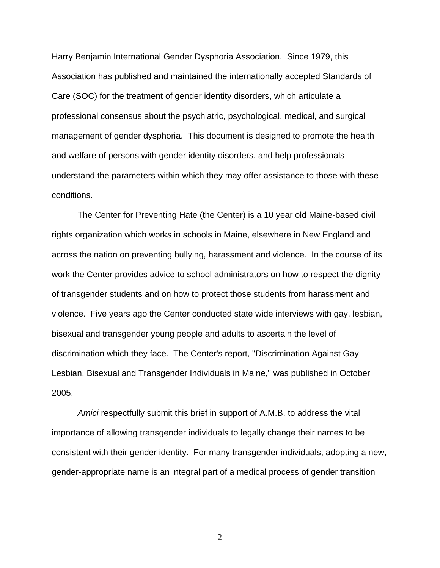Harry Benjamin International Gender Dysphoria Association. Since 1979, this Association has published and maintained the internationally accepted Standards of Care (SOC) for the treatment of gender identity disorders, which articulate a professional consensus about the psychiatric, psychological, medical, and surgical management of gender dysphoria. This document is designed to promote the health and welfare of persons with gender identity disorders, and help professionals understand the parameters within which they may offer assistance to those with these conditions.

The Center for Preventing Hate (the Center) is a 10 year old Maine-based civil rights organization which works in schools in Maine, elsewhere in New England and across the nation on preventing bullying, harassment and violence. In the course of its work the Center provides advice to school administrators on how to respect the dignity of transgender students and on how to protect those students from harassment and violence. Five years ago the Center conducted state wide interviews with gay, lesbian, bisexual and transgender young people and adults to ascertain the level of discrimination which they face. The Center's report, "Discrimination Against Gay Lesbian, Bisexual and Transgender Individuals in Maine," was published in October 2005.

*Amici* respectfully submit this brief in support of A.M.B. to address the vital importance of allowing transgender individuals to legally change their names to be consistent with their gender identity. For many transgender individuals, adopting a new, gender-appropriate name is an integral part of a medical process of gender transition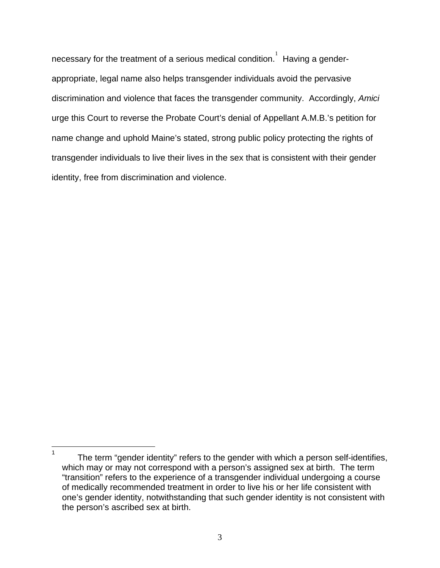necessary for the treatment of a serious medical condition.  ${}^{1}\,$  Having a genderappropriate, legal name also helps transgender individuals avoid the pervasive discrimination and violence that faces the transgender community. Accordingly, *Amici* urge this Court to reverse the Probate Court's denial of Appellant A.M.B.'s petition for name change and uphold Maine's stated, strong public policy protecting the rights of transgender individuals to live their lives in the sex that is consistent with their gender identity, free from discrimination and violence.

 $\frac{1}{1}$  The term "gender identity" refers to the gender with which a person self-identifies, which may or may not correspond with a person's assigned sex at birth. The term "transition" refers to the experience of a transgender individual undergoing a course of medically recommended treatment in order to live his or her life consistent with one's gender identity, notwithstanding that such gender identity is not consistent with the person's ascribed sex at birth.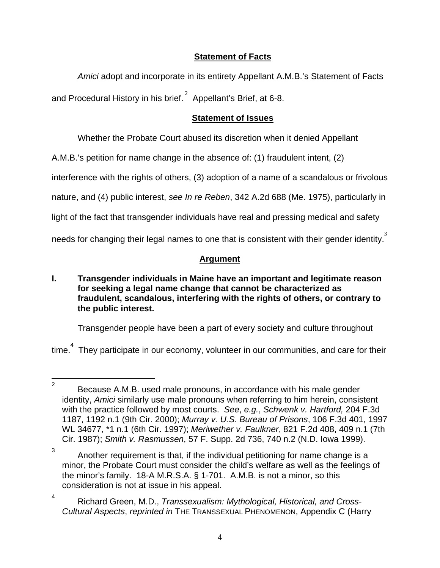## **Statement of Facts**

*Amici* adopt and incorporate in its entirety Appellant A.M.B.'s Statement of Facts

and Procedural History in his brief. $^2$  Appellant's Brief, at 6-8.

## **Statement of Issues**

Whether the Probate Court abused its discretion when it denied Appellant

A.M.B.'s petition for name change in the absence of: (1) fraudulent intent, (2)

interference with the rights of others, (3) adoption of a name of a scandalous or frivolous

nature, and (4) public interest, *see In re Reben*, 342 A.2d 688 (Me. 1975), particularly in

light of the fact that transgender individuals have real and pressing medical and safety

needs for changing their legal names to one that is consistent with their gender identity.<sup>3</sup>

# **Argument**

**I. Transgender individuals in Maine have an important and legitimate reason for seeking a legal name change that cannot be characterized as fraudulent, scandalous, interfering with the rights of others, or contrary to the public interest.** 

Transgender people have been a part of every society and culture throughout

time. $^{4}$  They participate in our economy, volunteer in our communities, and care for their

 $\frac{1}{2}$  Because A.M.B. used male pronouns, in accordance with his male gender identity, *Amici* similarly use male pronouns when referring to him herein, consistent with the practice followed by most courts. *See*, *e.g.*, *Schwenk v. Hartford,* 204 F.3d 1187, 1192 n.1 (9th Cir. 2000); *Murray v. U.S. Bureau of Prisons*, 106 F.3d 401, 1997 WL 34677, \*1 n.1 (6th Cir. 1997); *Meriwether v. Faulkner*, 821 F.2d 408, 409 n.1 (7th Cir. 1987); *Smith v. Rasmussen*, 57 F. Supp. 2d 736, 740 n.2 (N.D. Iowa 1999).

<sup>3</sup> Another requirement is that, if the individual petitioning for name change is a minor, the Probate Court must consider the child's welfare as well as the feelings of the minor's family. 18-A M.R.S.A. § 1-701. A.M.B. is not a minor, so this consideration is not at issue in his appeal.

<sup>4</sup> Richard Green, M.D., *Transsexualism: Mythological, Historical, and Cross-Cultural Aspects*, *reprinted in* THE TRANSSEXUAL PHENOMENON, Appendix C (Harry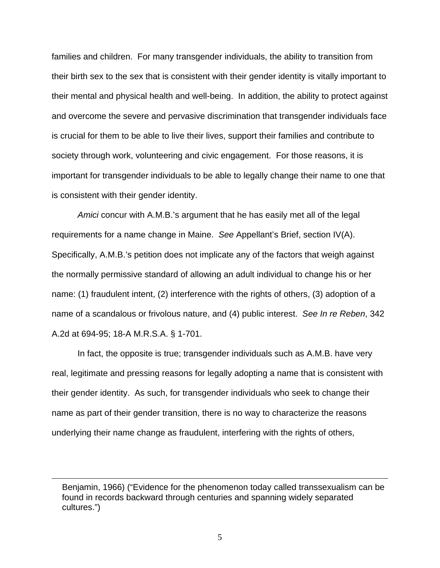families and children. For many transgender individuals, the ability to transition from their birth sex to the sex that is consistent with their gender identity is vitally important to their mental and physical health and well-being. In addition, the ability to protect against and overcome the severe and pervasive discrimination that transgender individuals face is crucial for them to be able to live their lives, support their families and contribute to society through work, volunteering and civic engagement. For those reasons, it is important for transgender individuals to be able to legally change their name to one that is consistent with their gender identity.

*Amici* concur with A.M.B.'s argument that he has easily met all of the legal requirements for a name change in Maine. *See* Appellant's Brief, section IV(A). Specifically, A.M.B.'s petition does not implicate any of the factors that weigh against the normally permissive standard of allowing an adult individual to change his or her name: (1) fraudulent intent, (2) interference with the rights of others, (3) adoption of a name of a scandalous or frivolous nature, and (4) public interest. *See In re Reben*, 342 A.2d at 694-95; 18-A M.R.S.A. § 1-701.

In fact, the opposite is true; transgender individuals such as A.M.B. have very real, legitimate and pressing reasons for legally adopting a name that is consistent with their gender identity. As such, for transgender individuals who seek to change their name as part of their gender transition, there is no way to characterize the reasons underlying their name change as fraudulent, interfering with the rights of others,

 $\overline{a}$ 

Benjamin, 1966) ("Evidence for the phenomenon today called transsexualism can be found in records backward through centuries and spanning widely separated cultures.")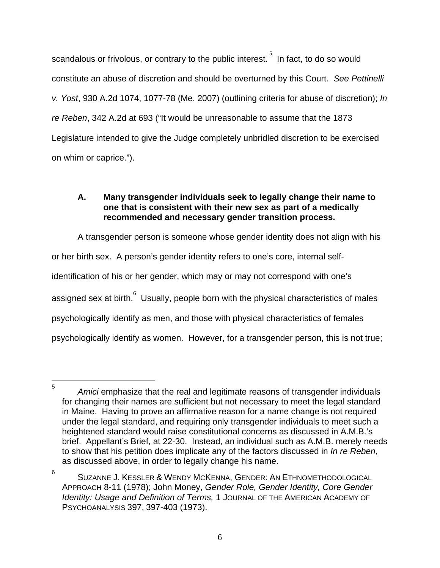scandalous or frivolous, or contrary to the public interest.<sup>5</sup> In fact, to do so would constitute an abuse of discretion and should be overturned by this Court. *See Pettinelli v. Yost*, 930 A.2d 1074, 1077-78 (Me. 2007) (outlining criteria for abuse of discretion); *In re Reben*, 342 A.2d at 693 ("It would be unreasonable to assume that the 1873 Legislature intended to give the Judge completely unbridled discretion to be exercised on whim or caprice.").

## **A. Many transgender individuals seek to legally change their name to one that is consistent with their new sex as part of a medically recommended and necessary gender transition process.**

A transgender person is someone whose gender identity does not align with his or her birth sex. A person's gender identity refers to one's core, internal selfidentification of his or her gender, which may or may not correspond with one's assigned sex at birth. $^{6}$  Usually, people born with the physical characteristics of males psychologically identify as men, and those with physical characteristics of females psychologically identify as women. However, for a transgender person, this is not true;

<sup>—&</sup>lt;br>5 *Amici* emphasize that the real and legitimate reasons of transgender individuals for changing their names are sufficient but not necessary to meet the legal standard in Maine. Having to prove an affirmative reason for a name change is not required under the legal standard, and requiring only transgender individuals to meet such a heightened standard would raise constitutional concerns as discussed in A.M.B.'s brief. Appellant's Brief, at 22-30. Instead, an individual such as A.M.B. merely needs to show that his petition does implicate any of the factors discussed in *In re Reben*, as discussed above, in order to legally change his name.

<sup>6</sup> SUZANNE J. KESSLER & WENDY MCKENNA, GENDER: AN ETHNOMETHODOLOGICAL APPROACH 8-11 (1978); John Money, *Gender Role, Gender Identity, Core Gender Identity: Usage and Definition of Terms,* 1 JOURNAL OF THE AMERICAN ACADEMY OF PSYCHOANALYSIS 397, 397-403 (1973).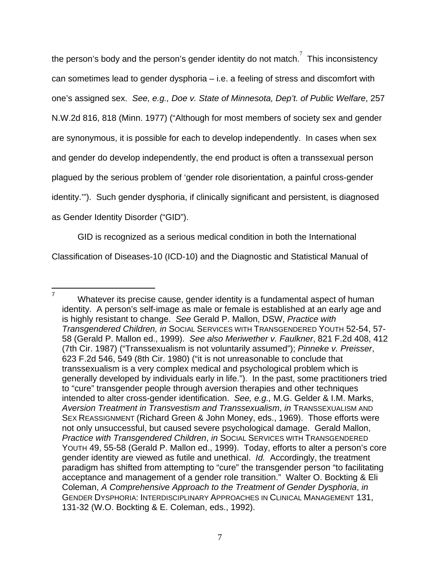the person's body and the person's gender identity do not match.<sup>7</sup> This inconsistency can sometimes lead to gender dysphoria – i.e. a feeling of stress and discomfort with one's assigned sex. *See, e.g., Doe v. State of Minnesota, Dep't. of Public Welfare*, 257 N.W.2d 816, 818 (Minn. 1977) ("Although for most members of society sex and gender are synonymous, it is possible for each to develop independently. In cases when sex and gender do develop independently, the end product is often a transsexual person plagued by the serious problem of 'gender role disorientation, a painful cross-gender identity.'"). Such gender dysphoria, if clinically significant and persistent, is diagnosed as Gender Identity Disorder ("GID").

GID is recognized as a serious medical condition in both the International Classification of Diseases-10 (ICD-10) and the Diagnostic and Statistical Manual of

—<br>7

Whatever its precise cause, gender identity is a fundamental aspect of human identity. A person's self-image as male or female is established at an early age and is highly resistant to change. *See* Gerald P. Mallon, DSW, *Practice with Transgendered Children, in* SOCIAL SERVICES WITH TRANSGENDERED YOUTH 52-54, 57- 58 (Gerald P. Mallon ed., 1999). *See also Meriwether v. Faulkner*, 821 F.2d 408, 412 (7th Cir. 1987) ("Transsexualism is not voluntarily assumed"); *Pinneke v. Preisser*, 623 F.2d 546, 549 (8th Cir. 1980) ("it is not unreasonable to conclude that transsexualism is a very complex medical and psychological problem which is generally developed by individuals early in life.").In the past, some practitioners tried to "cure" transgender people through aversion therapies and other techniques intended to alter cross-gender identification. *See, e.g.,* M.G. Gelder & I.M. Marks, *Aversion Treatment in Transvestism and Transsexualism*, *in* TRANSSEXUALISM AND SEX REASSIGNMENT (Richard Green & John Money, eds., 1969). Those efforts were not only unsuccessful, but caused severe psychological damage. Gerald Mallon, **Practice with Transgendered Children, in SOCIAL SERVICES WITH TRANSGENDERED** YOUTH 49, 55-58 (Gerald P. Mallon ed., 1999). Today, efforts to alter a person's core gender identity are viewed as futile and unethical. *Id.* Accordingly, the treatment paradigm has shifted from attempting to "cure" the transgender person "to facilitating acceptance and management of a gender role transition." Walter O. Bockting & Eli Coleman, *A Comprehensive Approach to the Treatment of Gender Dysphoria*, *in* GENDER DYSPHORIA: INTERDISCIPLINARY APPROACHES IN CLINICAL MANAGEMENT 131, 131-32 (W.O. Bockting & E. Coleman, eds., 1992).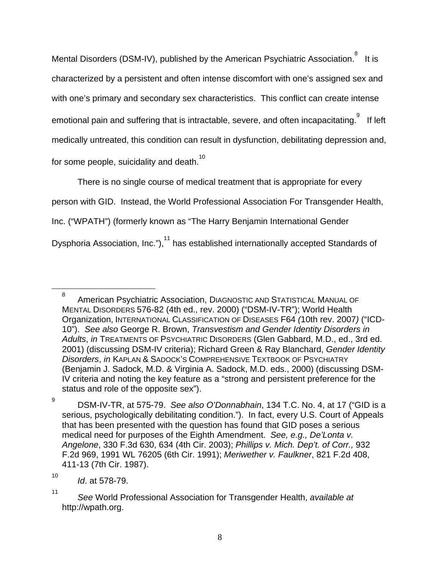Mental Disorders (DSM-IV), published by the American Psychiatric Association.  $8\;$  It is characterized by a persistent and often intense discomfort with one's assigned sex and with one's primary and secondary sex characteristics. This conflict can create intense emotional pain and suffering that is intractable, severe, and often incapacitating.  $^{\circ}$  If left medically untreated, this condition can result in dysfunction, debilitating depression and, for some people, suicidality and death.<sup>10</sup>

There is no single course of medical treatment that is appropriate for every person with GID. Instead, the World Professional Association For Transgender Health, Inc. ("WPATH") (formerly known as "The Harry Benjamin International Gender Dysphoria Association, Inc."),<sup>11</sup> has established internationally accepted Standards of

9

8 American Psychiatric Association, DIAGNOSTIC AND STATISTICAL MANUAL OF MENTAL DISORDERS 576-82 (4th ed., rev. 2000) ("DSM-IV-TR"); World Health Organization, INTERNATIONAL CLASSIFICATION OF DISEASES F64 *(*10th rev. 2007*)* ("ICD-10"). *See also* George R. Brown, *Transvestism and Gender Identity Disorders in Adults*, *in* TREATMENTS OF PSYCHIATRIC DISORDERS (Glen Gabbard, M.D., ed., 3rd ed. 2001) (discussing DSM-IV criteria); Richard Green & Ray Blanchard, *Gender Identity Disorders*, *in* KAPLAN & SADOCK'S COMPREHENSIVE TEXTBOOK OF PSYCHIATRY (Benjamin J. Sadock, M.D. & Virginia A. Sadock, M.D. eds., 2000) (discussing DSM-IV criteria and noting the key feature as a "strong and persistent preference for the status and role of the opposite sex").

DSM-IV-TR, at 575-79. *See also O'Donnabhain*, 134 T.C. No. 4, at 17 ("GID is a serious, psychologically debilitating condition."). In fact, every U.S. Court of Appeals that has been presented with the question has found that GID poses a serious medical need for purposes of the Eighth Amendment. *See, e.g., De'Lonta v. Angelone*, 330 F.3d 630, 634 (4th Cir. 2003); *Phillips v. Mich. Dep't. of Corr.,* 932 F.2d 969, 1991 WL 76205 (6th Cir. 1991); *Meriwether v. Faulkner*, 821 F.2d 408, 411-13 (7th Cir. 1987).

*Id*. at 578-79.

<sup>11</sup> *See* World Professional Association for Transgender Health, *available at*  http://wpath.org.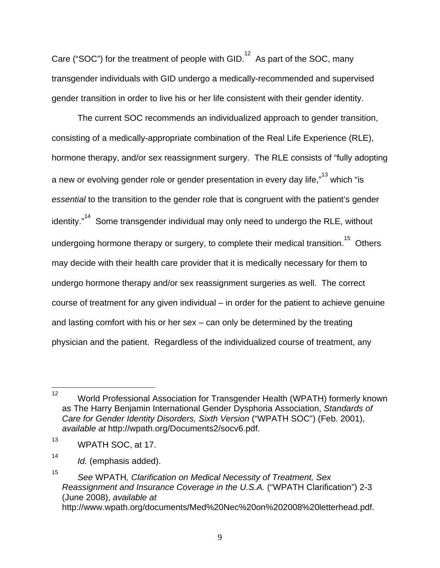Care ("SOC") for the treatment of people with GID.<sup>12</sup> As part of the SOC, many transgender individuals with GID undergo a medically-recommended and supervised gender transition in order to live his or her life consistent with their gender identity.

The current SOC recommends an individualized approach to gender transition, consisting of a medically-appropriate combination of the Real Life Experience (RLE), hormone therapy, and/or sex reassignment surgery. The RLE consists of "fully adopting a new or evolving gender role or gender presentation in every day life," $13$  which "is *essential* to the transition to the gender role that is congruent with the patient's gender identity. $n^{14}$  Some transgender individual may only need to undergo the RLE, without undergoing hormone therapy or surgery, to complete their medical transition.<sup>15</sup> Others may decide with their health care provider that it is medically necessary for them to undergo hormone therapy and/or sex reassignment surgeries as well. The correct course of treatment for any given individual – in order for the patient to achieve genuine and lasting comfort with his or her sex – can only be determined by the treating physician and the patient. Regardless of the individualized course of treatment, any

 $12<sup>°</sup>$ 12 World Professional Association for Transgender Health (WPATH) formerly known as The Harry Benjamin International Gender Dysphoria Association, *Standards of Care for Gender Identity Disorders, Sixth Version* ("WPATH SOC") (Feb. 2001), *available at* http://wpath.org/Documents2/socv6.pdf.

<sup>13</sup> WPATH SOC, at 17.

<sup>14</sup> *Id.* (emphasis added).

<sup>15</sup> *See* WPATH*, Clarification on Medical Necessity of Treatment, Sex Reassignment and Insurance Coverage in the U.S.A.* ("WPATH Clarification") 2-3 (June 2008), *available at*  http://www.wpath.org/documents/Med%20Nec%20on%202008%20letterhead.pdf.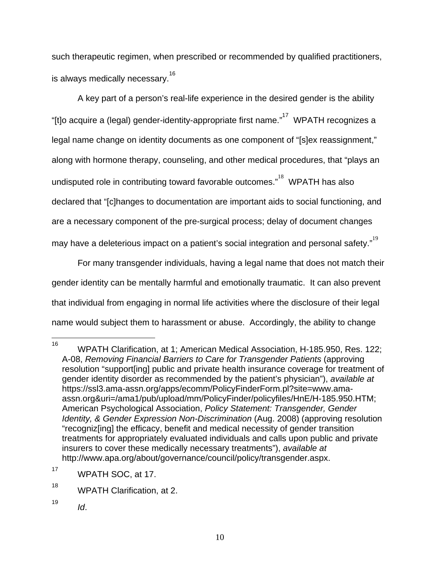such therapeutic regimen, when prescribed or recommended by qualified practitioners, is always medically necessary.<sup>16</sup>

A key part of a person's real-life experience in the desired gender is the ability "[t]o acquire a (legal) gender-identity-appropriate first name."<sup>17</sup> WPATH recognizes a legal name change on identity documents as one component of "[s]ex reassignment," along with hormone therapy, counseling, and other medical procedures, that "plays an undisputed role in contributing toward favorable outcomes."<sup>18</sup> WPATH has also declared that "[c]hanges to documentation are important aids to social functioning, and are a necessary component of the pre-surgical process; delay of document changes may have a deleterious impact on a patient's social integration and personal safety." $^{19}$ 

For many transgender individuals, having a legal name that does not match their gender identity can be mentally harmful and emotionally traumatic. It can also prevent that individual from engaging in normal life activities where the disclosure of their legal name would subject them to harassment or abuse. Accordingly, the ability to change

<sup>16</sup> 16 WPATH Clarification, at 1; American Medical Association, H-185.950, Res. 122; A-08, *Removing Financial Barriers to Care for Transgender Patients* (approving resolution "support[ing] public and private health insurance coverage for treatment of gender identity disorder as recommended by the patient's physician"), *available at*  https://ssl3.ama-assn.org/apps/ecomm/PolicyFinderForm.pl?site=www.amaassn.org&uri=/ama1/pub/upload/mm/PolicyFinder/policyfiles/HnE/H-185.950.HTM; American Psychological Association, *Policy Statement: Transgender, Gender Identity, & Gender Expression Non-Discrimination* (Aug. 2008) (approving resolution "recogniz[ing] the efficacy, benefit and medical necessity of gender transition treatments for appropriately evaluated individuals and calls upon public and private insurers to cover these medically necessary treatments"), *available at* http://www.apa.org/about/governance/council/policy/transgender.aspx.

<sup>17</sup> WPATH SOC, at 17.

<sup>&</sup>lt;sup>18</sup> WPATH Clarification, at 2.

<sup>19</sup> *Id*.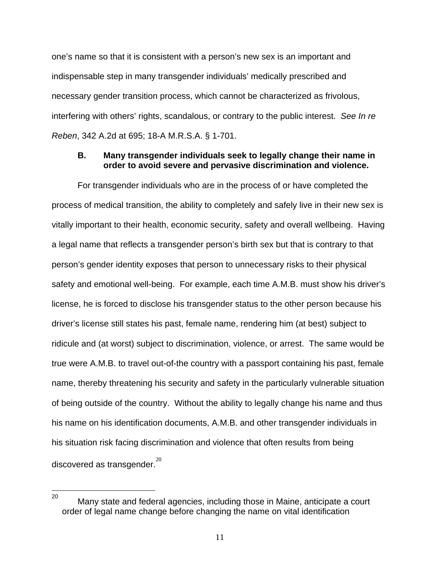one's name so that it is consistent with a person's new sex is an important and indispensable step in many transgender individuals' medically prescribed and necessary gender transition process, which cannot be characterized as frivolous, interfering with others' rights, scandalous, or contrary to the public interest. *See In re Reben*, 342 A.2d at 695; 18-A M.R.S.A. § 1-701.

### **B. Many transgender individuals seek to legally change their name in order to avoid severe and pervasive discrimination and violence.**

For transgender individuals who are in the process of or have completed the process of medical transition, the ability to completely and safely live in their new sex is vitally important to their health, economic security, safety and overall wellbeing. Having a legal name that reflects a transgender person's birth sex but that is contrary to that person's gender identity exposes that person to unnecessary risks to their physical safety and emotional well-being. For example, each time A.M.B. must show his driver's license, he is forced to disclose his transgender status to the other person because his driver's license still states his past, female name, rendering him (at best) subject to ridicule and (at worst) subject to discrimination, violence, or arrest. The same would be true were A.M.B. to travel out-of-the country with a passport containing his past, female name, thereby threatening his security and safety in the particularly vulnerable situation of being outside of the country. Without the ability to legally change his name and thus his name on his identification documents, A.M.B. and other transgender individuals in his situation risk facing discrimination and violence that often results from being discovered as transgender. $^{20}$ 

<sup>20</sup> Many state and federal agencies, including those in Maine, anticipate a court order of legal name change before changing the name on vital identification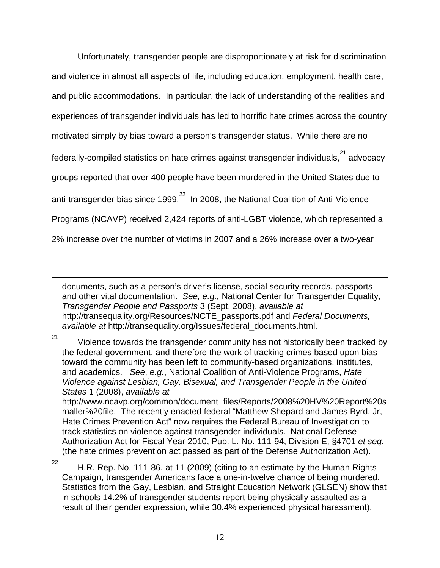Unfortunately, transgender people are disproportionately at risk for discrimination and violence in almost all aspects of life, including education, employment, health care, and public accommodations. In particular, the lack of understanding of the realities and experiences of transgender individuals has led to horrific hate crimes across the country motivated simply by bias toward a person's transgender status. While there are no federally-compiled statistics on hate crimes against transgender individuals, $21$  advocacy groups reported that over 400 people have been murdered in the United States due to anti-transgender bias since 1999. $^{22}$  In 2008, the National Coalition of Anti-Violence Programs (NCAVP) received 2,424 reports of anti-LGBT violence, which represented a 2% increase over the number of victims in 2007 and a 26% increase over a two-year

documents, such as a person's driver's license, social security records, passports and other vital documentation. *See, e.g.,* National Center for Transgender Equality, *Transgender People and Passports* 3 (Sept. 2008), *available at* http://transequality.org/Resources/NCTE\_passports.pdf and *Federal Documents, available at* http://transequality.org/Issues/federal\_documents.html.

 $21$  Violence towards the transgender community has not historically been tracked by the federal government, and therefore the work of tracking crimes based upon bias toward the community has been left to community-based organizations, institutes, and academics. *See*, *e.g.*, National Coalition of Anti-Violence Programs, *Hate Violence against Lesbian, Gay, Bisexual, and Transgender People in the United States* 1 (2008), *available at* http://www.ncavp.org/common/document\_files/Reports/2008%20HV%20Report%20s

maller%20file. The recently enacted federal "Matthew Shepard and James Byrd. Jr, Hate Crimes Prevention Act" now requires the Federal Bureau of Investigation to track statistics on violence against transgender individuals. National Defense Authorization Act for Fiscal Year 2010, Pub. L. No. 111-94, Division E, §4701 *et seq.* (the hate crimes prevention act passed as part of the Defense Authorization Act).

 $\overline{a}$ 

<sup>22</sup> H.R. Rep. No. 111-86, at 11 (2009) (citing to an estimate by the Human Rights Campaign, transgender Americans face a one-in-twelve chance of being murdered. Statistics from the Gay, Lesbian, and Straight Education Network (GLSEN) show that in schools 14.2% of transgender students report being physically assaulted as a result of their gender expression, while 30.4% experienced physical harassment).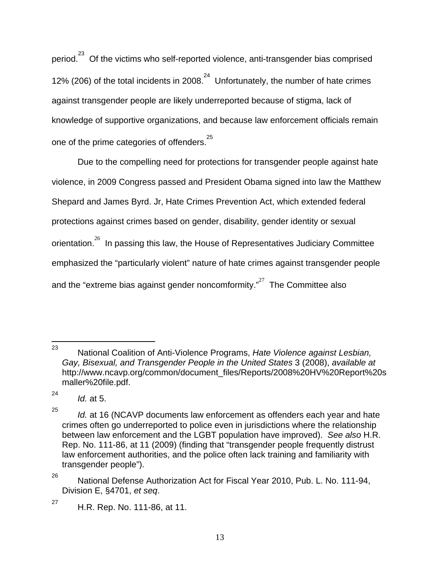period.<sup>23</sup> Of the victims who self-reported violence, anti-transgender bias comprised 12% (206) of the total incidents in 2008. $^{24}$  Unfortunately, the number of hate crimes against transgender people are likely underreported because of stigma, lack of knowledge of supportive organizations, and because law enforcement officials remain one of the prime categories of offenders. $25$ 

Due to the compelling need for protections for transgender people against hate violence, in 2009 Congress passed and President Obama signed into law the Matthew Shepard and James Byrd. Jr, Hate Crimes Prevention Act, which extended federal protections against crimes based on gender, disability, gender identity or sexual orientation.<sup>26</sup> In passing this law, the House of Representatives Judiciary Committee emphasized the "particularly violent" nature of hate crimes against transgender people and the "extreme bias against gender noncomformity." $27$  The Committee also

<sup>23</sup> 23 National Coalition of Anti-Violence Programs, *Hate Violence against Lesbian, Gay, Bisexual, and Transgender People in the United States* 3 (2008), *available at* http://www.ncavp.org/common/document\_files/Reports/2008%20HV%20Report%20s maller%20file.pdf.

<sup>24</sup> *Id.* at 5.

<sup>25</sup> *Id.* at 16 (NCAVP documents law enforcement as offenders each year and hate crimes often go underreported to police even in jurisdictions where the relationship between law enforcement and the LGBT population have improved). *See also* H.R. Rep. No. 111-86, at 11 (2009) (finding that "transgender people frequently distrust law enforcement authorities, and the police often lack training and familiarity with transgender people").

<sup>&</sup>lt;sup>26</sup> National Defense Authorization Act for Fiscal Year 2010, Pub. L. No. 111-94, Division E, §4701, *et seq*.

 $27$  H.R. Rep. No. 111-86, at 11.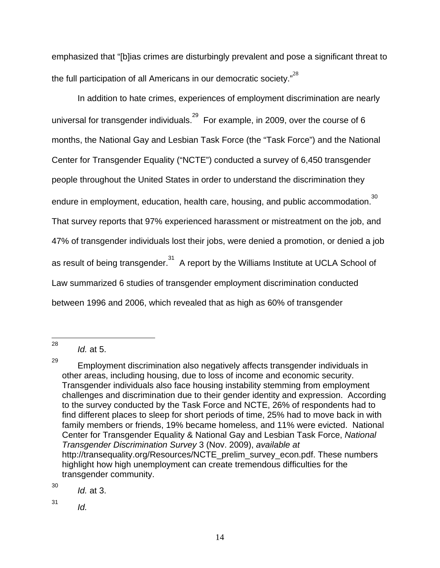emphasized that "[b]ias crimes are disturbingly prevalent and pose a significant threat to the full participation of all Americans in our democratic society." $^{^{28}}$ 

In addition to hate crimes, experiences of employment discrimination are nearly universal for transgender individuals.<sup>29</sup> For example, in 2009, over the course of 6 months, the National Gay and Lesbian Task Force (the "Task Force") and the National Center for Transgender Equality ("NCTE") conducted a survey of 6,450 transgender people throughout the United States in order to understand the discrimination they endure in employment, education, health care, housing, and public accommodation. $^{30}$ That survey reports that 97% experienced harassment or mistreatment on the job, and 47% of transgender individuals lost their jobs, were denied a promotion, or denied a job as result of being transgender.<sup>31</sup> A report by the Williams Institute at UCLA School of Law summarized 6 studies of transgender employment discrimination conducted between 1996 and 2006, which revealed that as high as 60% of transgender

 $\frac{1}{28}$ 

30 *Id.* at 3.

*Id.*

*Id.* at 5.

 $29$  Employment discrimination also negatively affects transgender individuals in other areas, including housing, due to loss of income and economic security. Transgender individuals also face housing instability stemming from employment challenges and discrimination due to their gender identity and expression. According to the survey conducted by the Task Force and NCTE, 26% of respondents had to find different places to sleep for short periods of time, 25% had to move back in with family members or friends, 19% became homeless, and 11% were evicted. National Center for Transgender Equality & National Gay and Lesbian Task Force, *National Transgender Discrimination Survey* 3 (Nov. 2009), *available at* http://transequality.org/Resources/NCTE\_prelim\_survey\_econ.pdf. These numbers highlight how high unemployment can create tremendous difficulties for the transgender community.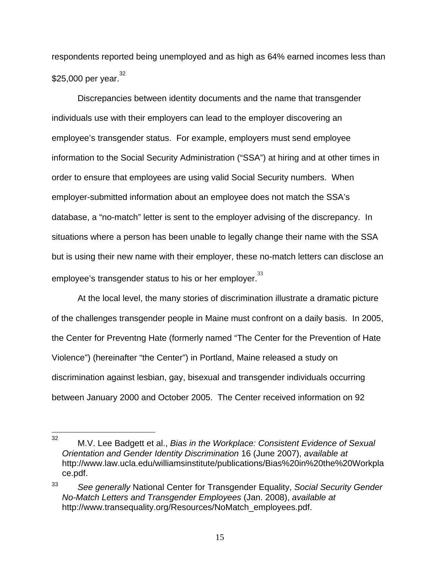respondents reported being unemployed and as high as 64% earned incomes less than  $$25,000$  per year.<sup>32</sup>

Discrepancies between identity documents and the name that transgender individuals use with their employers can lead to the employer discovering an employee's transgender status. For example, employers must send employee information to the Social Security Administration ("SSA") at hiring and at other times in order to ensure that employees are using valid Social Security numbers. When employer-submitted information about an employee does not match the SSA's database, a "no-match" letter is sent to the employer advising of the discrepancy. In situations where a person has been unable to legally change their name with the SSA but is using their new name with their employer, these no-match letters can disclose an employee's transgender status to his or her employer. $33$ 

At the local level, the many stories of discrimination illustrate a dramatic picture of the challenges transgender people in Maine must confront on a daily basis. In 2005, the Center for Preventng Hate (formerly named "The Center for the Prevention of Hate Violence") (hereinafter "the Center") in Portland, Maine released a study on discrimination against lesbian, gay, bisexual and transgender individuals occurring between January 2000 and October 2005. The Center received information on 92

 $32<sup>°</sup>$ 32 M.V. Lee Badgett et al., *Bias in the Workplace: Consistent Evidence of Sexual Orientation and Gender Identity Discrimination* 16 (June 2007), *available at*  http://www.law.ucla.edu/williamsinstitute/publications/Bias%20in%20the%20Workpla ce.pdf.

<sup>33</sup>*See generally* National Center for Transgender Equality, *Social Security Gender No-Match Letters and Transgender Employees* (Jan. 2008), *available at* http://www.transequality.org/Resources/NoMatch\_employees.pdf.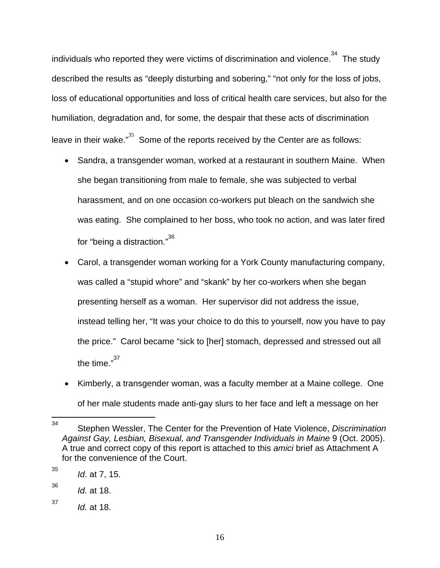individuals who reported they were victims of discrimination and violence. $34$  The study described the results as "deeply disturbing and sobering," "not only for the loss of jobs, loss of educational opportunities and loss of critical health care services, but also for the humiliation, degradation and, for some, the despair that these acts of discrimination leave in their wake. $n^{35}$  Some of the reports received by the Center are as follows:

- Sandra, a transgender woman, worked at a restaurant in southern Maine. When she began transitioning from male to female, she was subjected to verbal harassment, and on one occasion co-workers put bleach on the sandwich she was eating. She complained to her boss, who took no action, and was later fired for "being a distraction."<sup>36</sup>
- Carol, a transgender woman working for a York County manufacturing company, was called a "stupid whore" and "skank" by her co-workers when she began presenting herself as a woman. Her supervisor did not address the issue, instead telling her, "It was your choice to do this to yourself, now you have to pay the price." Carol became "sick to [her] stomach, depressed and stressed out all the time."<sup>37</sup>
- Kimberly, a transgender woman, was a faculty member at a Maine college. One of her male students made anti-gay slurs to her face and left a message on her

<sup>34</sup> 34 Stephen Wessler, The Center for the Prevention of Hate Violence, *Discrimination Against Gay, Lesbian, Bisexual, and Transgender Individuals in Maine* 9 (Oct. 2005). A true and correct copy of this report is attached to this *amici* brief as Attachment A for the convenience of the Court.

<sup>35</sup> *Id*. at 7, 15.

<sup>36</sup> *Id.* at 18.

<sup>37</sup> *Id.* at 18.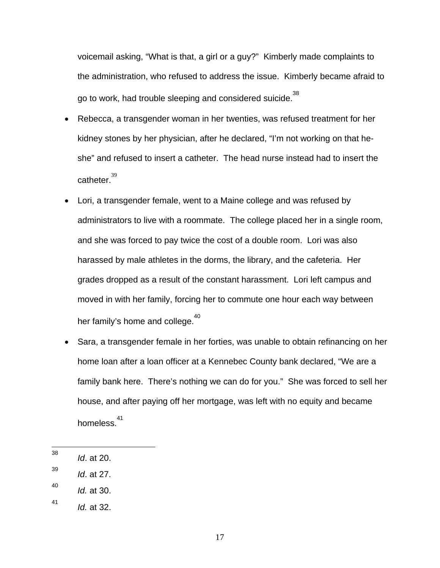voicemail asking, "What is that, a girl or a guy?" Kimberly made complaints to the administration, who refused to address the issue. Kimberly became afraid to go to work, had trouble sleeping and considered suicide.<sup>38</sup>

- Rebecca, a transgender woman in her twenties, was refused treatment for her kidney stones by her physician, after he declared, "I'm not working on that heshe" and refused to insert a catheter. The head nurse instead had to insert the catheter. $39$
- Lori, a transgender female, went to a Maine college and was refused by administrators to live with a roommate. The college placed her in a single room, and she was forced to pay twice the cost of a double room. Lori was also harassed by male athletes in the dorms, the library, and the cafeteria. Her grades dropped as a result of the constant harassment. Lori left campus and moved in with her family, forcing her to commute one hour each way between her family's home and college.<sup>40</sup>
- Sara, a transgender female in her forties, was unable to obtain refinancing on her home loan after a loan officer at a Kennebec County bank declared, "We are a family bank here. There's nothing we can do for you." She was forced to sell her house, and after paying off her mortgage, was left with no equity and became homeless.<sup>41</sup>

39 *Id*. at 27.

 $\frac{1}{38}$ *Id*. at 20.

<sup>40</sup> *Id.* at 30.

<sup>41</sup> *Id.* at 32.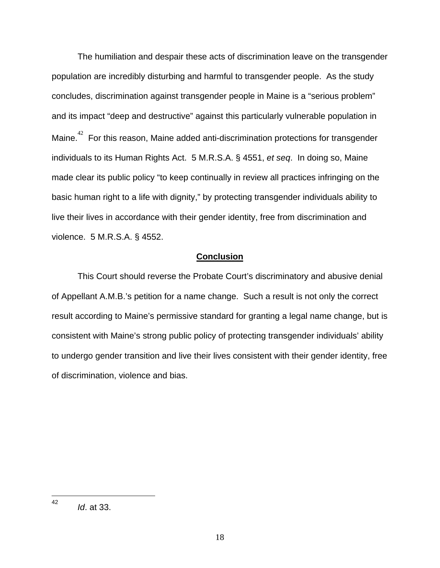The humiliation and despair these acts of discrimination leave on the transgender population are incredibly disturbing and harmful to transgender people. As the study concludes, discrimination against transgender people in Maine is a "serious problem" and its impact "deep and destructive" against this particularly vulnerable population in Maine. $42$  For this reason, Maine added anti-discrimination protections for transgender individuals to its Human Rights Act. 5 M.R.S.A. § 4551, *et seq*. In doing so, Maine made clear its public policy "to keep continually in review all practices infringing on the basic human right to a life with dignity," by protecting transgender individuals ability to live their lives in accordance with their gender identity, free from discrimination and violence. 5 M.R.S.A. § 4552.

### **Conclusion**

 This Court should reverse the Probate Court's discriminatory and abusive denial of Appellant A.M.B.'s petition for a name change. Such a result is not only the correct result according to Maine's permissive standard for granting a legal name change, but is consistent with Maine's strong public policy of protecting transgender individuals' ability to undergo gender transition and live their lives consistent with their gender identity, free of discrimination, violence and bias.

 $\frac{1}{42}$ *Id*. at 33.